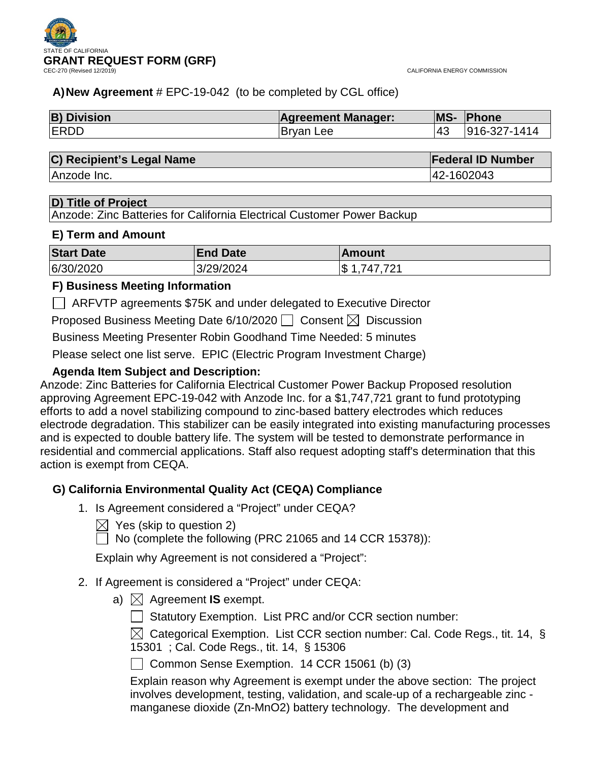

# **A)New Agreement** # EPC-19-042 (to be completed by CGL office)

| <b>B) Division</b> | <b>Agreement Manager:</b> | <b>MS-</b> | Phone        |
|--------------------|---------------------------|------------|--------------|
| <b>ERDD</b>        | Bryan Lee                 | 143        | 916-327-1414 |

## **C) Recipient's Legal Name Federal ID Number**

Anzode Inc. 42-1602043

## **D) Title of Project**

Anzode: Zinc Batteries for California Electrical Customer Power Backup

## **E) Term and Amount**

| <b>Start Date</b> | <b>End Date</b> | ∣Amount             |
|-------------------|-----------------|---------------------|
| 6/30/2020         | 3/29/2024       | 747 721<br>\$<br>-4 |

# **F) Business Meeting Information**

ARFVTP agreements \$75K and under delegated to Executive Director

Proposed Business Meeting Date 6/10/2020  $\Box$  Consent  $\boxtimes$  Discussion

Business Meeting Presenter Robin Goodhand Time Needed: 5 minutes

Please select one list serve. EPIC (Electric Program Investment Charge)

# **Agenda Item Subject and Description:**

Anzode: Zinc Batteries for California Electrical Customer Power Backup Proposed resolution approving Agreement EPC-19-042 with Anzode Inc. for a \$1,747,721 grant to fund prototyping efforts to add a novel stabilizing compound to zinc-based battery electrodes which reduces electrode degradation. This stabilizer can be easily integrated into existing manufacturing processes and is expected to double battery life. The system will be tested to demonstrate performance in residential and commercial applications. Staff also request adopting staff's determination that this action is exempt from CEQA.

# **G) California Environmental Quality Act (CEQA) Compliance**

- 1. Is Agreement considered a "Project" under CEQA?
	- $\boxtimes$  Yes (skip to question 2)
	- $\Box$  No (complete the following (PRC 21065 and 14 CCR 15378)):

Explain why Agreement is not considered a "Project":

- 2. If Agreement is considered a "Project" under CEQA:
	- a)  $\boxtimes$  Agreement **IS** exempt.
		- Statutory Exemption. List PRC and/or CCR section number:

 $\boxtimes$  Categorical Exemption. List CCR section number: Cal. Code Regs., tit. 14, § 15301 ; Cal. Code Regs., tit. 14, § 15306

Common Sense Exemption. 14 CCR 15061 (b) (3)

Explain reason why Agreement is exempt under the above section: The project involves development, testing, validation, and scale-up of a rechargeable zinc manganese dioxide (Zn-MnO2) battery technology. The development and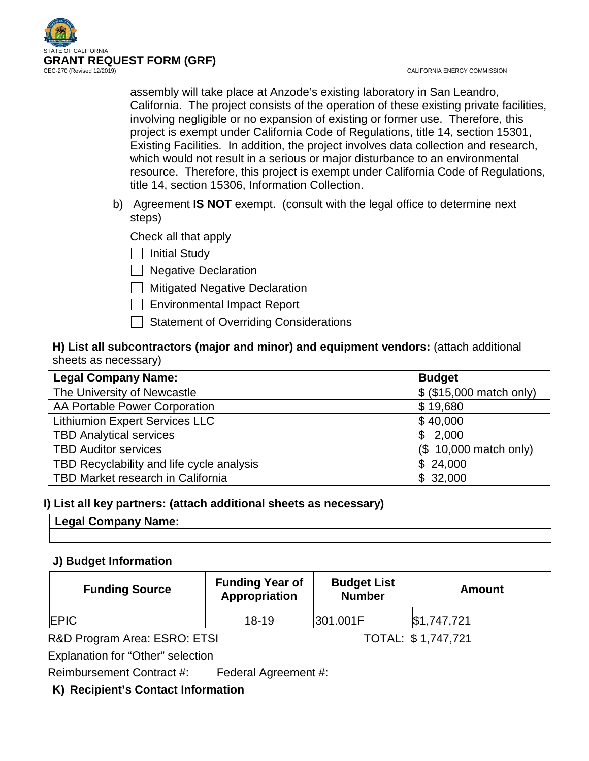

CALIFORNIA ENERGY COMMISSION

assembly will take place at Anzode's existing laboratory in San Leandro, California. The project consists of the operation of these existing private facilities, involving negligible or no expansion of existing or former use. Therefore, this project is exempt under California Code of Regulations, title 14, section 15301, Existing Facilities. In addition, the project involves data collection and research, which would not result in a serious or major disturbance to an environmental resource. Therefore, this project is exempt under California Code of Regulations, title 14, section 15306, Information Collection.

b) Agreement **IS NOT** exempt. (consult with the legal office to determine next steps)

Check all that apply

 $\Box$  Initial Study

 $\Box$  Negative Declaration

**Nitigated Negative Declaration** 

Environmental Impact Report

Statement of Overriding Considerations

# **H) List all subcontractors (major and minor) and equipment vendors:** (attach additional sheets as necessary)

| <b>Legal Company Name:</b>                | <b>Budget</b>            |
|-------------------------------------------|--------------------------|
| The University of Newcastle               | \$ (\$15,000 match only) |
| AA Portable Power Corporation             | \$19,680                 |
| <b>Lithiumion Expert Services LLC</b>     | \$40,000                 |
| <b>TBD Analytical services</b>            | \$2,000                  |
| <b>TBD Auditor services</b>               | (\$10,000 match only)    |
| TBD Recyclability and life cycle analysis | \$24,000                 |
| TBD Market research in California         | \$32,000                 |

# **I) List all key partners: (attach additional sheets as necessary)**

| ˈ Legal Company Name: |  |
|-----------------------|--|
|                       |  |

# **J) Budget Information**

| <b>Funding Source</b> | <b>Funding Year of</b><br>Appropriation | <b>Budget List</b><br><b>Number</b> | Amount      |
|-----------------------|-----------------------------------------|-------------------------------------|-------------|
| <b>IEPIC</b>          | $18 - 19$                               | 301.001F                            | \$1,747,721 |

R&D Program Area: ESRO: ETSI TOTAL: \$1,747,721

Explanation for "Other" selection

Reimbursement Contract #: Federal Agreement #:

**K) Recipient's Contact Information**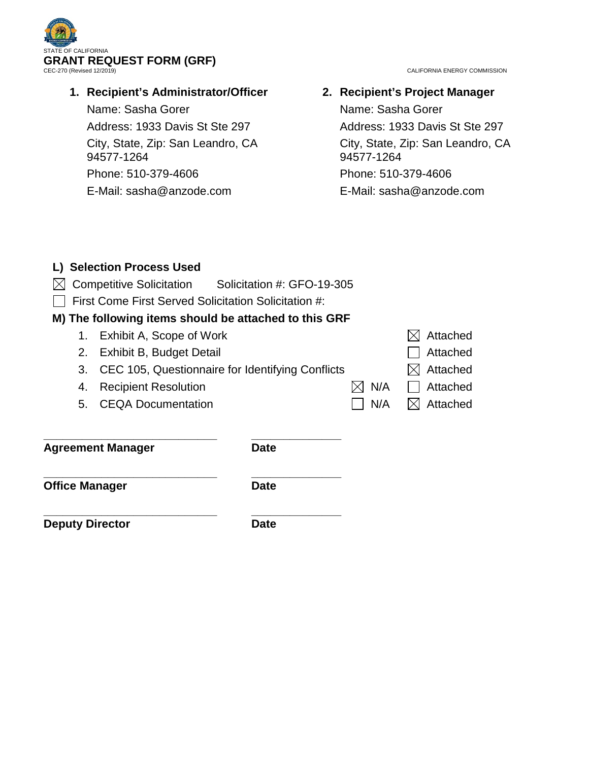

# **1. Recipient's Administrator/Officer**

Name: Sasha Gorer Address: 1933 Davis St Ste 297 City, State, Zip: San Leandro, CA 94577-1264 Phone: 510-379-4606

E-Mail: sasha@anzode.com

**2. Recipient's Project Manager** Name: Sasha Gorer Address: 1933 Davis St Ste 297 City, State, Zip: San Leandro, CA 94577-1264 Phone: 510-379-4606 E-Mail: sasha@anzode.com

|                       | L) Selection Process Used                             |                            |          |          |
|-----------------------|-------------------------------------------------------|----------------------------|----------|----------|
|                       | <b>Competitive Solicitation</b>                       | Solicitation #: GFO-19-305 |          |          |
|                       | First Come First Served Solicitation Solicitation #:  |                            |          |          |
|                       | M) The following items should be attached to this GRF |                            |          |          |
| 1.                    | Exhibit A, Scope of Work                              |                            |          | Attached |
| 2.                    | Exhibit B, Budget Detail                              |                            |          | Attached |
| 3.                    | CEC 105, Questionnaire for Identifying Conflicts      |                            |          | Attached |
| 4.                    | N/A<br><b>Recipient Resolution</b>                    |                            | Attached |          |
| 5.                    | <b>CEQA Documentation</b>                             |                            | N/A      | Attached |
|                       |                                                       |                            |          |          |
|                       | <b>Agreement Manager</b>                              | Date                       |          |          |
| <b>Office Manager</b> |                                                       | <b>Date</b>                |          |          |
|                       | <b>Deputy Director</b><br>Date                        |                            |          |          |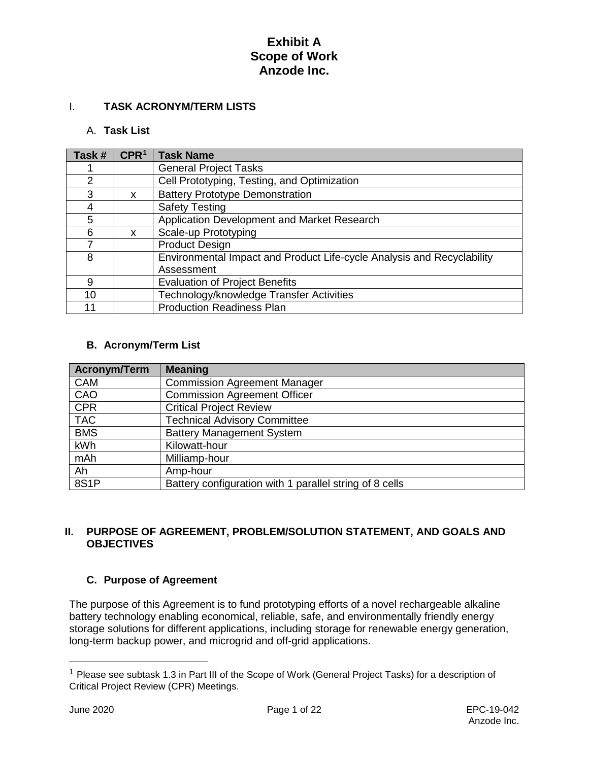# I. **TASK ACRONYM/TERM LISTS**

## A. **Task List**

| Task #        | CPR <sup>1</sup> | <b>Task Name</b>                                                       |
|---------------|------------------|------------------------------------------------------------------------|
|               |                  | <b>General Project Tasks</b>                                           |
| $\mathcal{P}$ |                  | Cell Prototyping, Testing, and Optimization                            |
| 3             | X                | <b>Battery Prototype Demonstration</b>                                 |
| 4             |                  | <b>Safety Testing</b>                                                  |
| 5             |                  | Application Development and Market Research                            |
| 6             | x                | Scale-up Prototyping                                                   |
|               |                  | <b>Product Design</b>                                                  |
| 8             |                  | Environmental Impact and Product Life-cycle Analysis and Recyclability |
|               |                  | Assessment                                                             |
| 9             |                  | <b>Evaluation of Project Benefits</b>                                  |
| 10            |                  | Technology/knowledge Transfer Activities                               |
| 11            |                  | <b>Production Readiness Plan</b>                                       |

## **B. Acronym/Term List**

| Acronym/Term | <b>Meaning</b>                                          |
|--------------|---------------------------------------------------------|
| <b>CAM</b>   | <b>Commission Agreement Manager</b>                     |
| CAO          | <b>Commission Agreement Officer</b>                     |
| <b>CPR</b>   | <b>Critical Project Review</b>                          |
| <b>TAC</b>   | <b>Technical Advisory Committee</b>                     |
| <b>BMS</b>   | <b>Battery Management System</b>                        |
| kWh          | Kilowatt-hour                                           |
| mAh          | Milliamp-hour                                           |
| Ah           | Amp-hour                                                |
| 8S1P         | Battery configuration with 1 parallel string of 8 cells |

## **II. PURPOSE OF AGREEMENT, PROBLEM/SOLUTION STATEMENT, AND GOALS AND OBJECTIVES**

## **C. Purpose of Agreement**

The purpose of this Agreement is to fund prototyping efforts of a novel rechargeable alkaline battery technology enabling economical, reliable, safe, and environmentally friendly energy storage solutions for different applications, including storage for renewable energy generation, long-term backup power, and microgrid and off-grid applications.

 $\overline{a}$ 

<span id="page-3-0"></span><sup>1</sup> Please see subtask 1.3 in Part III of the Scope of Work (General Project Tasks) for a description of Critical Project Review (CPR) Meetings.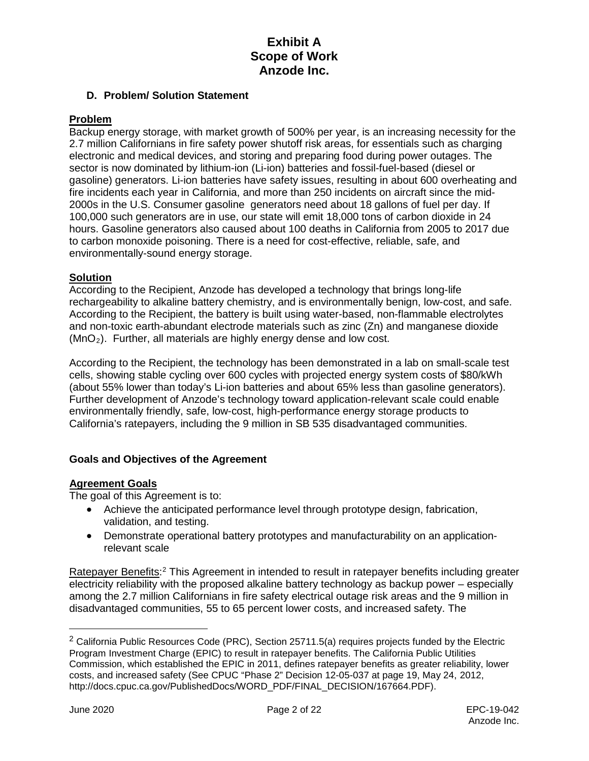## **D. Problem/ Solution Statement**

## **Problem**

Backup energy storage, with market growth of 500% per year, is an increasing necessity for the 2.7 million Californians in fire safety power shutoff risk areas, for essentials such as charging electronic and medical devices, and storing and preparing food during power outages. The sector is now dominated by lithium-ion (Li-ion) batteries and fossil-fuel-based (diesel or gasoline) generators. Li-ion batteries have safety issues, resulting in about 600 overheating and fire incidents each year in California, and more than 250 incidents on aircraft since the mid-2000s in the U.S. Consumer gasoline generators need about 18 gallons of fuel per day. If 100,000 such generators are in use, our state will emit 18,000 tons of carbon dioxide in 24 hours. Gasoline generators also caused about 100 deaths in California from 2005 to 2017 due to carbon monoxide poisoning. There is a need for cost-effective, reliable, safe, and environmentally-sound energy storage.

### **Solution**

According to the Recipient, Anzode has developed a technology that brings long-life rechargeability to alkaline battery chemistry, and is environmentally benign, low-cost, and safe. According to the Recipient, the battery is built using water-based, non-flammable electrolytes and non-toxic earth-abundant electrode materials such as zinc (Zn) and manganese dioxide  $(MnO<sub>2</sub>)$ . Further, all materials are highly energy dense and low cost.

According to the Recipient, the technology has been demonstrated in a lab on small-scale test cells, showing stable cycling over 600 cycles with projected energy system costs of \$80/kWh (about 55% lower than today's Li-ion batteries and about 65% less than gasoline generators). Further development of Anzode's technology toward application-relevant scale could enable environmentally friendly, safe, low-cost, high-performance energy storage products to California's ratepayers, including the 9 million in SB 535 disadvantaged communities.

## **Goals and Objectives of the Agreement**

### **Agreement Goals**

The goal of this Agreement is to:

- Achieve the anticipated performance level through prototype design, fabrication, validation, and testing.
- Demonstrate operational battery prototypes and manufacturability on an applicationrelevant scale

Ratepayer Benefits:<sup>[2](#page-4-0)</sup> This Agreement in intended to result in ratepayer benefits including greater electricity reliability with the proposed alkaline battery technology as backup power – especially among the 2.7 million Californians in fire safety electrical outage risk areas and the 9 million in disadvantaged communities, 55 to 65 percent lower costs, and increased safety. The

 $\overline{a}$ 

<span id="page-4-0"></span> $2$  California Public Resources Code (PRC), Section 25711.5(a) requires projects funded by the Electric Program Investment Charge (EPIC) to result in ratepayer benefits. The California Public Utilities Commission, which established the EPIC in 2011, defines ratepayer benefits as greater reliability, lower costs, and increased safety (See CPUC "Phase 2" Decision 12-05-037 at page 19, May 24, 2012, http://docs.cpuc.ca.gov/PublishedDocs/WORD\_PDF/FINAL\_DECISION/167664.PDF).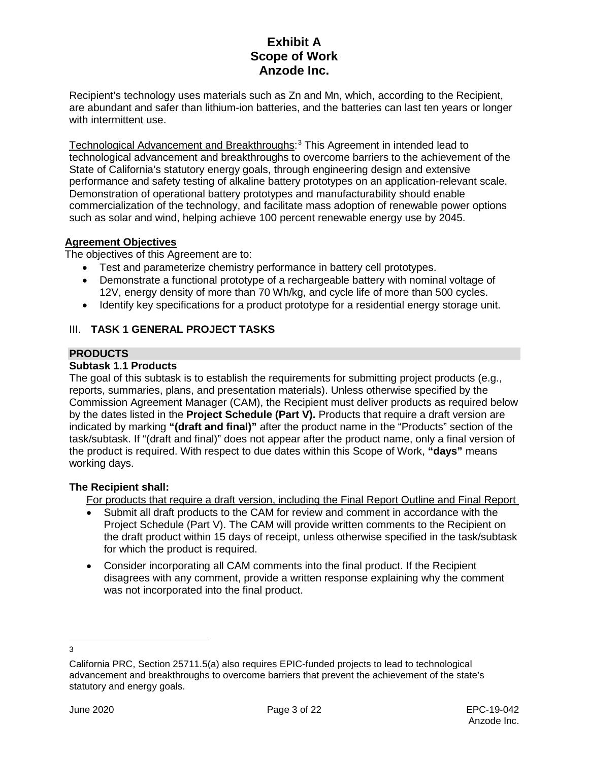Recipient's technology uses materials such as Zn and Mn, which, according to the Recipient, are abundant and safer than lithium-ion batteries, and the batteries can last ten years or longer with intermittent use.

Technological Advancement and Breakthroughs: [3](#page-5-0) This Agreement in intended lead to technological advancement and breakthroughs to overcome barriers to the achievement of the State of California's statutory energy goals, through engineering design and extensive performance and safety testing of alkaline battery prototypes on an application-relevant scale. Demonstration of operational battery prototypes and manufacturability should enable commercialization of the technology, and facilitate mass adoption of renewable power options such as solar and wind, helping achieve 100 percent renewable energy use by 2045.

## **Agreement Objectives**

The objectives of this Agreement are to:

- Test and parameterize chemistry performance in battery cell prototypes.
- Demonstrate a functional prototype of a rechargeable battery with nominal voltage of 12V, energy density of more than 70 Wh/kg, and cycle life of more than 500 cycles.
- Identify key specifications for a product prototype for a residential energy storage unit.

## III. **TASK 1 GENERAL PROJECT TASKS**

## **PRODUCTS**

## **Subtask 1.1 Products**

The goal of this subtask is to establish the requirements for submitting project products (e.g., reports, summaries, plans, and presentation materials). Unless otherwise specified by the Commission Agreement Manager (CAM), the Recipient must deliver products as required below by the dates listed in the **Project Schedule (Part V).** Products that require a draft version are indicated by marking **"(draft and final)"** after the product name in the "Products" section of the task/subtask. If "(draft and final)" does not appear after the product name, only a final version of the product is required. With respect to due dates within this Scope of Work, **"days"** means working days.

## **The Recipient shall:**

For products that require a draft version, including the Final Report Outline and Final Report

- Submit all draft products to the CAM for review and comment in accordance with the Project Schedule (Part V). The CAM will provide written comments to the Recipient on the draft product within 15 days of receipt, unless otherwise specified in the task/subtask for which the product is required.
- Consider incorporating all CAM comments into the final product. If the Recipient disagrees with any comment, provide a written response explaining why the comment was not incorporated into the final product.

<span id="page-5-0"></span> $\overline{a}$ 3

California PRC, Section 25711.5(a) also requires EPIC-funded projects to lead to technological advancement and breakthroughs to overcome barriers that prevent the achievement of the state's statutory and energy goals.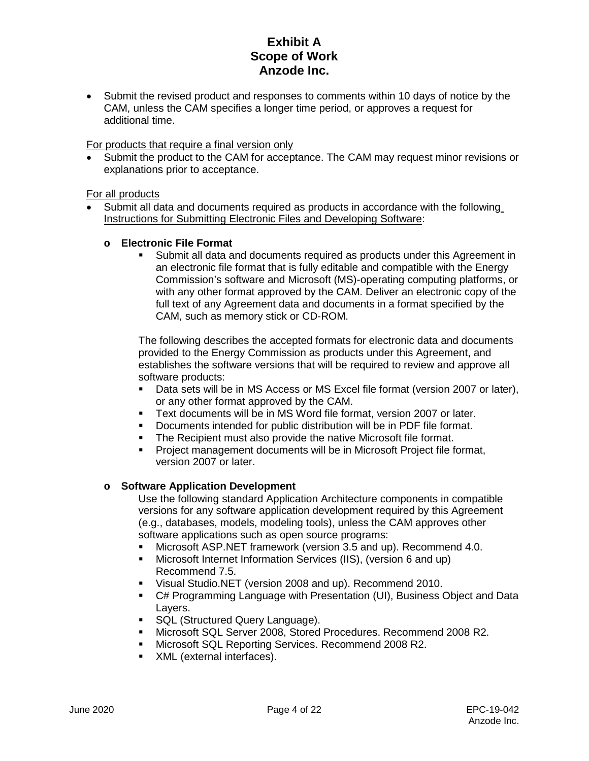• Submit the revised product and responses to comments within 10 days of notice by the CAM, unless the CAM specifies a longer time period, or approves a request for additional time.

## For products that require a final version only

• Submit the product to the CAM for acceptance. The CAM may request minor revisions or explanations prior to acceptance.

## For all products

• Submit all data and documents required as products in accordance with the following Instructions for Submitting Electronic Files and Developing Software:

## **o Electronic File Format**

 Submit all data and documents required as products under this Agreement in an electronic file format that is fully editable and compatible with the Energy Commission's software and Microsoft (MS)-operating computing platforms, or with any other format approved by the CAM. Deliver an electronic copy of the full text of any Agreement data and documents in a format specified by the CAM, such as memory stick or CD-ROM.

The following describes the accepted formats for electronic data and documents provided to the Energy Commission as products under this Agreement, and establishes the software versions that will be required to review and approve all software products:

- Data sets will be in MS Access or MS Excel file format (version 2007 or later), or any other format approved by the CAM.
- Text documents will be in MS Word file format, version 2007 or later.
- Documents intended for public distribution will be in PDF file format.
- **The Recipient must also provide the native Microsoft file format.**
- Project management documents will be in Microsoft Project file format, version 2007 or later.

## **o Software Application Development**

Use the following standard Application Architecture components in compatible versions for any software application development required by this Agreement (e.g., databases, models, modeling tools), unless the CAM approves other software applications such as open source programs:

- Microsoft ASP.NET framework (version 3.5 and up). Recommend 4.0.
- Microsoft Internet Information Services (IIS), (version 6 and up) Recommend 7.5.
- Visual Studio.NET (version 2008 and up). Recommend 2010.
- C# Programming Language with Presentation (UI), Business Object and Data Layers.
- **SQL (Structured Query Language).**
- Microsoft SQL Server 2008, Stored Procedures. Recommend 2008 R2.
- Microsoft SQL Reporting Services. Recommend 2008 R2.
- **XML** (external interfaces).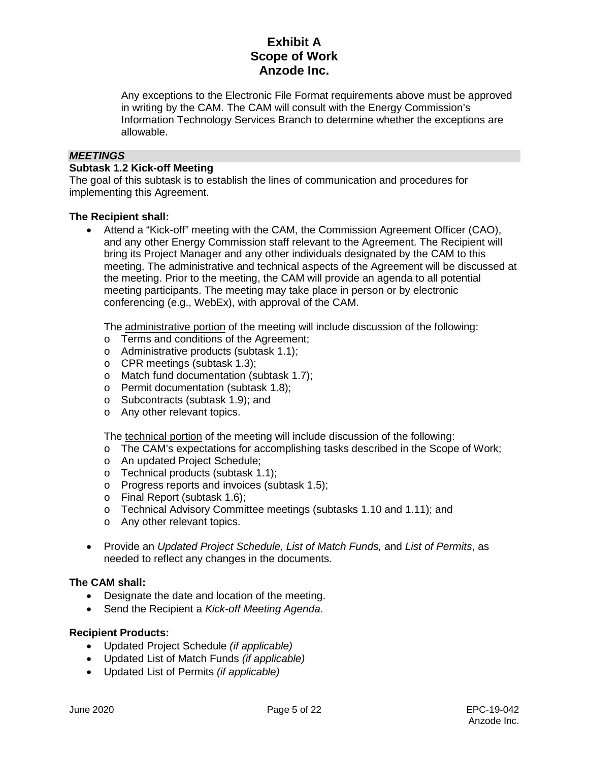Any exceptions to the Electronic File Format requirements above must be approved in writing by the CAM. The CAM will consult with the Energy Commission's Information Technology Services Branch to determine whether the exceptions are allowable.

## *MEETINGS*

## **Subtask 1.2 Kick-off Meeting**

The goal of this subtask is to establish the lines of communication and procedures for implementing this Agreement.

### **The Recipient shall:**

• Attend a "Kick-off" meeting with the CAM, the Commission Agreement Officer (CAO), and any other Energy Commission staff relevant to the Agreement. The Recipient will bring its Project Manager and any other individuals designated by the CAM to this meeting. The administrative and technical aspects of the Agreement will be discussed at the meeting. Prior to the meeting, the CAM will provide an agenda to all potential meeting participants. The meeting may take place in person or by electronic conferencing (e.g., WebEx), with approval of the CAM.

The administrative portion of the meeting will include discussion of the following:

- o Terms and conditions of the Agreement;
- o Administrative products (subtask 1.1);
- o CPR meetings (subtask 1.3);
- o Match fund documentation (subtask 1.7);
- o Permit documentation (subtask 1.8);
- o Subcontracts (subtask 1.9); and
- o Any other relevant topics.

The technical portion of the meeting will include discussion of the following:

- o The CAM's expectations for accomplishing tasks described in the Scope of Work;
- o An updated Project Schedule;
- o Technical products (subtask 1.1);
- o Progress reports and invoices (subtask 1.5);
- o Final Report (subtask 1.6);
- o Technical Advisory Committee meetings (subtasks 1.10 and 1.11); and
- o Any other relevant topics.
- Provide an *Updated Project Schedule, List of Match Funds,* and *List of Permits*, as needed to reflect any changes in the documents.

## **The CAM shall:**

- Designate the date and location of the meeting.
- Send the Recipient a *Kick-off Meeting Agenda*.

### **Recipient Products:**

- Updated Project Schedule *(if applicable)*
- Updated List of Match Funds *(if applicable)*
- Updated List of Permits *(if applicable)*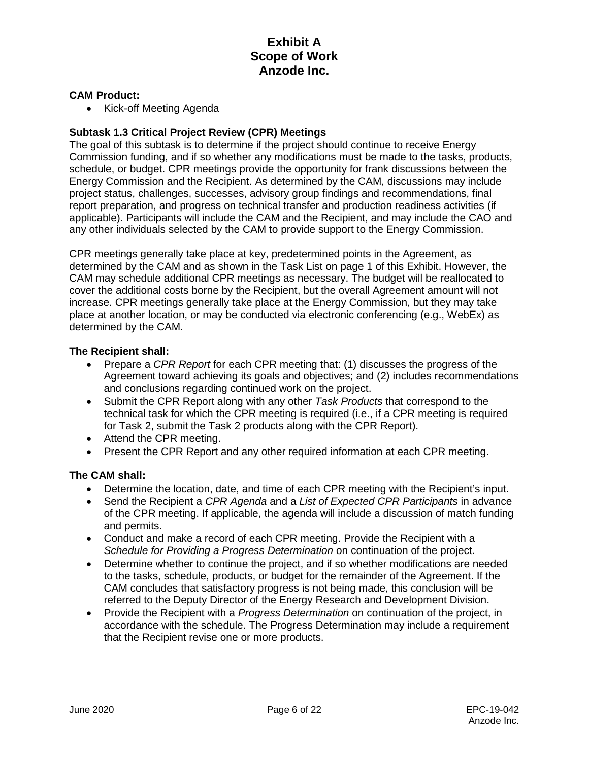### **CAM Product:**

• Kick-off Meeting Agenda

## **Subtask 1.3 Critical Project Review (CPR) Meetings**

The goal of this subtask is to determine if the project should continue to receive Energy Commission funding, and if so whether any modifications must be made to the tasks, products, schedule, or budget. CPR meetings provide the opportunity for frank discussions between the Energy Commission and the Recipient. As determined by the CAM, discussions may include project status, challenges, successes, advisory group findings and recommendations, final report preparation, and progress on technical transfer and production readiness activities (if applicable). Participants will include the CAM and the Recipient, and may include the CAO and any other individuals selected by the CAM to provide support to the Energy Commission.

CPR meetings generally take place at key, predetermined points in the Agreement, as determined by the CAM and as shown in the Task List on page 1 of this Exhibit. However, the CAM may schedule additional CPR meetings as necessary. The budget will be reallocated to cover the additional costs borne by the Recipient, but the overall Agreement amount will not increase. CPR meetings generally take place at the Energy Commission, but they may take place at another location, or may be conducted via electronic conferencing (e.g., WebEx) as determined by the CAM.

### **The Recipient shall:**

- Prepare a *CPR Report* for each CPR meeting that: (1) discusses the progress of the Agreement toward achieving its goals and objectives; and (2) includes recommendations and conclusions regarding continued work on the project.
- Submit the CPR Report along with any other *Task Products* that correspond to the technical task for which the CPR meeting is required (i.e., if a CPR meeting is required for Task 2, submit the Task 2 products along with the CPR Report).
- Attend the CPR meeting.
- Present the CPR Report and any other required information at each CPR meeting.

### **The CAM shall:**

- Determine the location, date, and time of each CPR meeting with the Recipient's input.
- Send the Recipient a *CPR Agenda* and a *List of Expected CPR Participants* in advance of the CPR meeting. If applicable, the agenda will include a discussion of match funding and permits.
- Conduct and make a record of each CPR meeting. Provide the Recipient with a *Schedule for Providing a Progress Determination* on continuation of the project.
- Determine whether to continue the project, and if so whether modifications are needed to the tasks, schedule, products, or budget for the remainder of the Agreement. If the CAM concludes that satisfactory progress is not being made, this conclusion will be referred to the Deputy Director of the Energy Research and Development Division.
- Provide the Recipient with a *Progress Determination* on continuation of the project, in accordance with the schedule. The Progress Determination may include a requirement that the Recipient revise one or more products.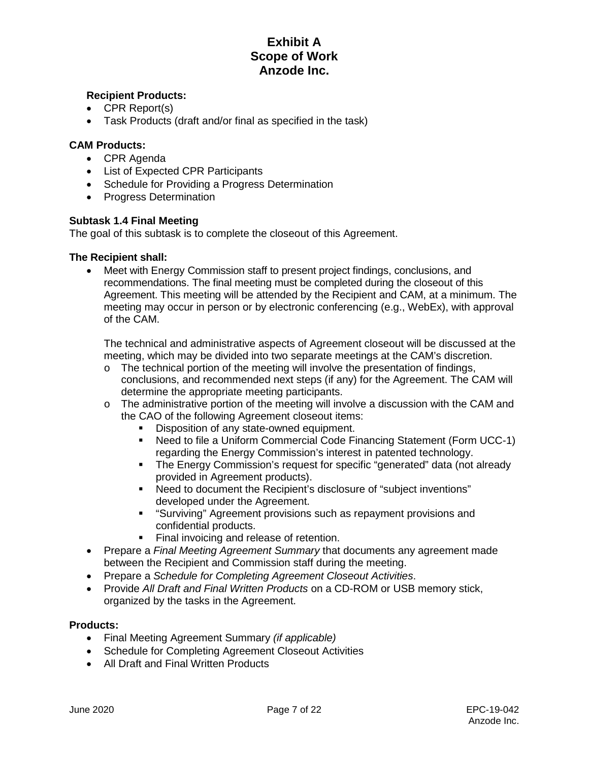## **Recipient Products:**

- CPR Report(s)
- Task Products (draft and/or final as specified in the task)

## **CAM Products:**

- CPR Agenda
- List of Expected CPR Participants
- Schedule for Providing a Progress Determination
- Progress Determination

### **Subtask 1.4 Final Meeting**

The goal of this subtask is to complete the closeout of this Agreement.

### **The Recipient shall:**

• Meet with Energy Commission staff to present project findings, conclusions, and recommendations. The final meeting must be completed during the closeout of this Agreement. This meeting will be attended by the Recipient and CAM, at a minimum. The meeting may occur in person or by electronic conferencing (e.g., WebEx), with approval of the CAM.

The technical and administrative aspects of Agreement closeout will be discussed at the meeting, which may be divided into two separate meetings at the CAM's discretion.

- $\circ$  The technical portion of the meeting will involve the presentation of findings, conclusions, and recommended next steps (if any) for the Agreement. The CAM will determine the appropriate meeting participants.
- $\circ$  The administrative portion of the meeting will involve a discussion with the CAM and the CAO of the following Agreement closeout items:
	- **Disposition of any state-owned equipment.**<br>**Disposition is a Uniform Commercial Code Final**
	- Need to file a Uniform Commercial Code Financing Statement (Form UCC-1) regarding the Energy Commission's interest in patented technology.
	- The Energy Commission's request for specific "generated" data (not already provided in Agreement products).
	- Need to document the Recipient's disclosure of "subject inventions" developed under the Agreement.
	- "Surviving" Agreement provisions such as repayment provisions and confidential products.
	- **Final invoicing and release of retention.**
- Prepare a *Final Meeting Agreement Summary* that documents any agreement made between the Recipient and Commission staff during the meeting.
- Prepare a *Schedule for Completing Agreement Closeout Activities*.
- Provide *All Draft and Final Written Products* on a CD-ROM or USB memory stick, organized by the tasks in the Agreement.

### **Products:**

- Final Meeting Agreement Summary *(if applicable)*
- Schedule for Completing Agreement Closeout Activities
- All Draft and Final Written Products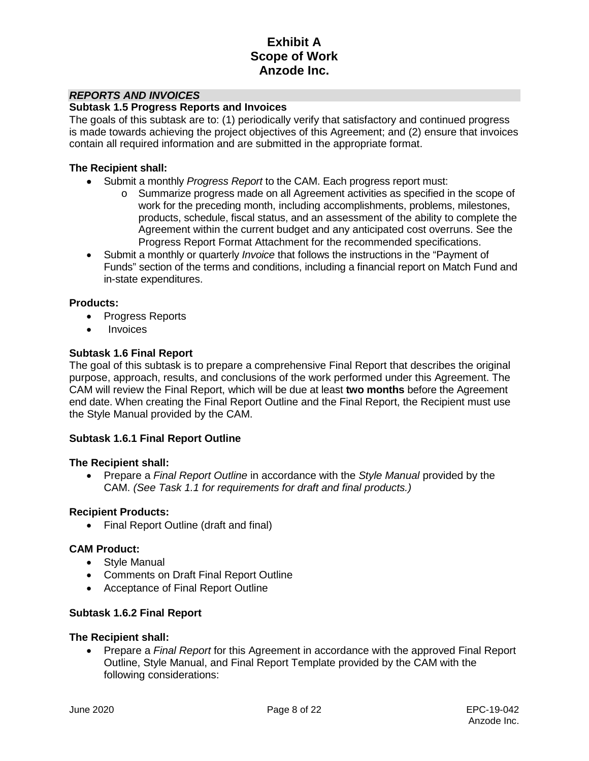## *REPORTS AND INVOICES*

#### **Subtask 1.5 Progress Reports and Invoices**

The goals of this subtask are to: (1) periodically verify that satisfactory and continued progress is made towards achieving the project objectives of this Agreement; and (2) ensure that invoices contain all required information and are submitted in the appropriate format.

#### **The Recipient shall:**

- Submit a monthly *Progress Report* to the CAM. Each progress report must:
	- o Summarize progress made on all Agreement activities as specified in the scope of work for the preceding month, including accomplishments, problems, milestones, products, schedule, fiscal status, and an assessment of the ability to complete the Agreement within the current budget and any anticipated cost overruns. See the Progress Report Format Attachment for the recommended specifications.
- Submit a monthly or quarterly *Invoice* that follows the instructions in the "Payment of Funds" section of the terms and conditions, including a financial report on Match Fund and in-state expenditures.

### **Products:**

- Progress Reports
- Invoices

### **Subtask 1.6 Final Report**

The goal of this subtask is to prepare a comprehensive Final Report that describes the original purpose, approach, results, and conclusions of the work performed under this Agreement. The CAM will review the Final Report, which will be due at least **two months** before the Agreement end date. When creating the Final Report Outline and the Final Report, the Recipient must use the Style Manual provided by the CAM.

### **Subtask 1.6.1 Final Report Outline**

### **The Recipient shall:**

• Prepare a *Final Report Outline* in accordance with the *Style Manual* provided by the CAM. *(See Task 1.1 for requirements for draft and final products.)*

#### **Recipient Products:**

• Final Report Outline (draft and final)

### **CAM Product:**

- Style Manual
- Comments on Draft Final Report Outline
- Acceptance of Final Report Outline

### **Subtask 1.6.2 Final Report**

### **The Recipient shall:**

• Prepare a *Final Report* for this Agreement in accordance with the approved Final Report Outline, Style Manual, and Final Report Template provided by the CAM with the following considerations: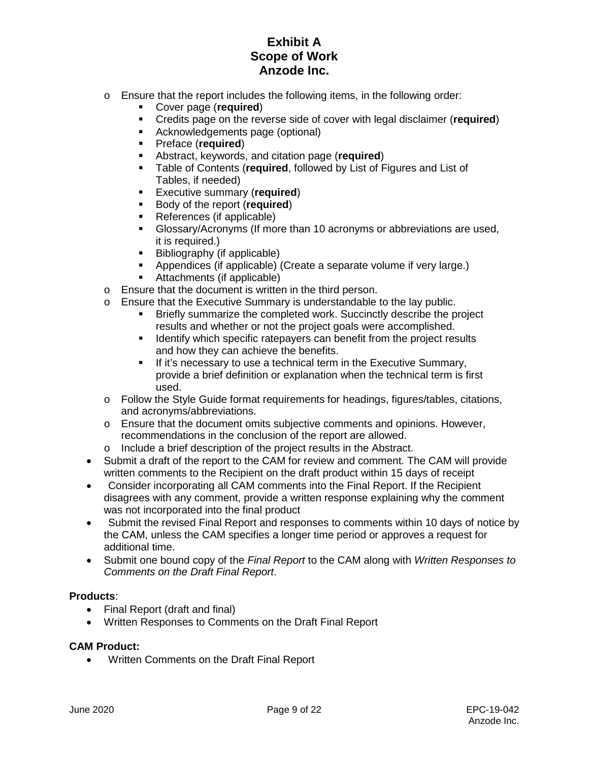- o Ensure that the report includes the following items, in the following order:
	- Cover page (**required**)
	- Credits page on the reverse side of cover with legal disclaimer (**required**)
	- Acknowledgements page (optional)
	- Preface (**required**)
	- **Abstract, keywords, and citation page (required)**<br>**Example of Contents (required, followed by List of Example**
	- Table of Contents (**required**, followed by List of Figures and List of Tables, if needed)
	- **Executive summary (required)**
	- **Body of the report (required)**
	- References (if applicable)
	- Glossary/Acronyms (If more than 10 acronyms or abbreviations are used, it is required.)
	- **Bibliography (if applicable)**
	- Appendices (if applicable) (Create a separate volume if very large.)
	- Attachments (if applicable)
- o Ensure that the document is written in the third person.
- o Ensure that the Executive Summary is understandable to the lay public.
	- Briefly summarize the completed work. Succinctly describe the project results and whether or not the project goals were accomplished.
	- **IDENTIFY WHICH SPECIFIC REEPAYERS CAN benefit from the project results** and how they can achieve the benefits.
	- **If it's necessary to use a technical term in the Executive Summary,** provide a brief definition or explanation when the technical term is first used.
- o Follow the Style Guide format requirements for headings, figures/tables, citations, and acronyms/abbreviations.
- o Ensure that the document omits subjective comments and opinions. However, recommendations in the conclusion of the report are allowed.
- o Include a brief description of the project results in the Abstract.
- Submit a draft of the report to the CAM for review and comment. The CAM will provide written comments to the Recipient on the draft product within 15 days of receipt
- Consider incorporating all CAM comments into the Final Report. If the Recipient disagrees with any comment, provide a written response explaining why the comment was not incorporated into the final product
- Submit the revised Final Report and responses to comments within 10 days of notice by the CAM, unless the CAM specifies a longer time period or approves a request for additional time.
- Submit one bound copy of the *Final Report* to the CAM along with *Written Responses to Comments on the Draft Final Report*.

## **Products**:

- Final Report (draft and final)
- Written Responses to Comments on the Draft Final Report

### **CAM Product:**

• Written Comments on the Draft Final Report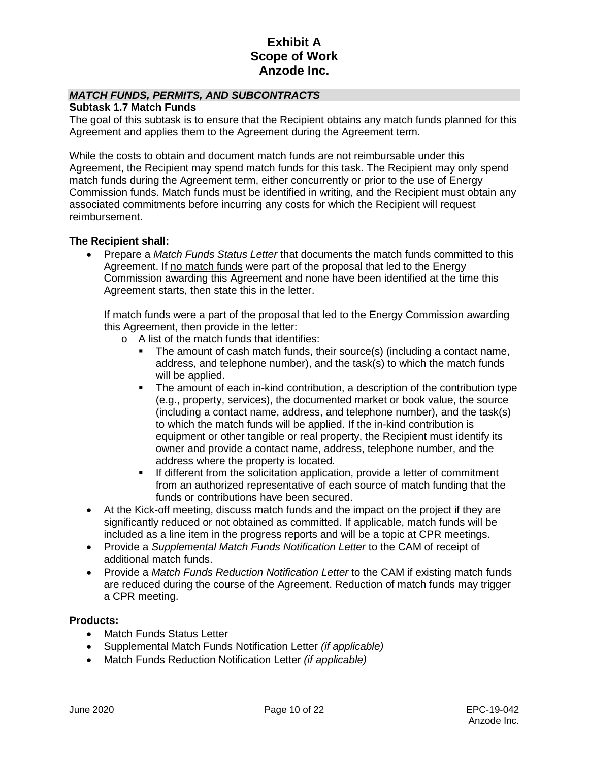## *MATCH FUNDS, PERMITS, AND SUBCONTRACTS*

### **Subtask 1.7 Match Funds**

The goal of this subtask is to ensure that the Recipient obtains any match funds planned for this Agreement and applies them to the Agreement during the Agreement term.

While the costs to obtain and document match funds are not reimbursable under this Agreement, the Recipient may spend match funds for this task. The Recipient may only spend match funds during the Agreement term, either concurrently or prior to the use of Energy Commission funds. Match funds must be identified in writing, and the Recipient must obtain any associated commitments before incurring any costs for which the Recipient will request reimbursement.

### **The Recipient shall:**

• Prepare a *Match Funds Status Letter* that documents the match funds committed to this Agreement. If no match funds were part of the proposal that led to the Energy Commission awarding this Agreement and none have been identified at the time this Agreement starts, then state this in the letter.

If match funds were a part of the proposal that led to the Energy Commission awarding this Agreement, then provide in the letter:

- o A list of the match funds that identifies:
	- The amount of cash match funds, their source(s) (including a contact name, address, and telephone number), and the task(s) to which the match funds will be applied.
	- The amount of each in-kind contribution, a description of the contribution type (e.g., property, services), the documented market or book value, the source (including a contact name, address, and telephone number), and the task(s) to which the match funds will be applied. If the in-kind contribution is equipment or other tangible or real property, the Recipient must identify its owner and provide a contact name, address, telephone number, and the address where the property is located.
	- If different from the solicitation application, provide a letter of commitment from an authorized representative of each source of match funding that the funds or contributions have been secured.
- At the Kick-off meeting, discuss match funds and the impact on the project if they are significantly reduced or not obtained as committed. If applicable, match funds will be included as a line item in the progress reports and will be a topic at CPR meetings.
- Provide a *Supplemental Match Funds Notification Letter* to the CAM of receipt of additional match funds.
- Provide a *Match Funds Reduction Notification Letter* to the CAM if existing match funds are reduced during the course of the Agreement. Reduction of match funds may trigger a CPR meeting.

#### **Products:**

- Match Funds Status Letter
- Supplemental Match Funds Notification Letter *(if applicable)*
- Match Funds Reduction Notification Letter *(if applicable)*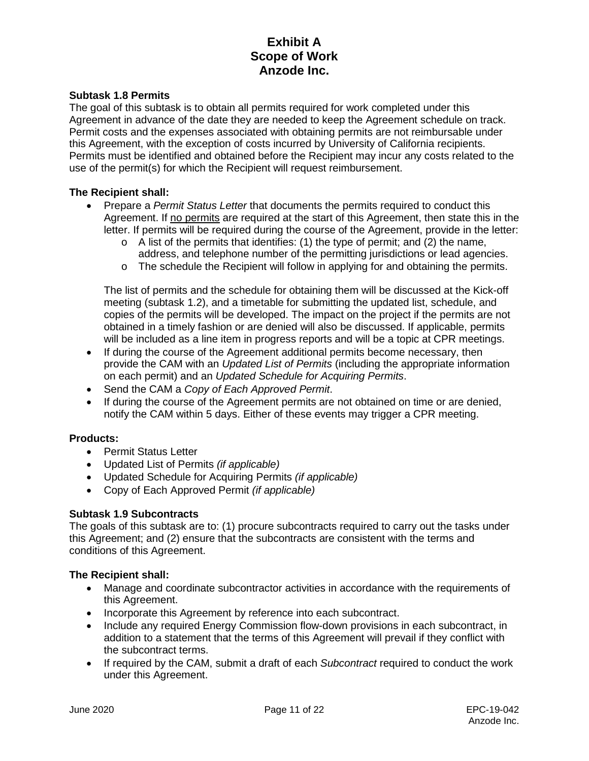## **Subtask 1.8 Permits**

The goal of this subtask is to obtain all permits required for work completed under this Agreement in advance of the date they are needed to keep the Agreement schedule on track. Permit costs and the expenses associated with obtaining permits are not reimbursable under this Agreement, with the exception of costs incurred by University of California recipients. Permits must be identified and obtained before the Recipient may incur any costs related to the use of the permit(s) for which the Recipient will request reimbursement.

## **The Recipient shall:**

- Prepare a *Permit Status Letter* that documents the permits required to conduct this Agreement. If no permits are required at the start of this Agreement, then state this in the letter. If permits will be required during the course of the Agreement, provide in the letter:
	- $\circ$  A list of the permits that identifies: (1) the type of permit; and (2) the name, address, and telephone number of the permitting jurisdictions or lead agencies.
	- $\circ$  The schedule the Recipient will follow in applying for and obtaining the permits.

The list of permits and the schedule for obtaining them will be discussed at the Kick-off meeting (subtask 1.2), and a timetable for submitting the updated list, schedule, and copies of the permits will be developed. The impact on the project if the permits are not obtained in a timely fashion or are denied will also be discussed. If applicable, permits will be included as a line item in progress reports and will be a topic at CPR meetings.

- If during the course of the Agreement additional permits become necessary, then provide the CAM with an *Updated List of Permits* (including the appropriate information on each permit) and an *Updated Schedule for Acquiring Permits*.
- Send the CAM a *Copy of Each Approved Permit*.
- If during the course of the Agreement permits are not obtained on time or are denied, notify the CAM within 5 days. Either of these events may trigger a CPR meeting.

### **Products:**

- Permit Status Letter
- Updated List of Permits *(if applicable)*
- Updated Schedule for Acquiring Permits *(if applicable)*
- Copy of Each Approved Permit *(if applicable)*

## **Subtask 1.9 Subcontracts**

The goals of this subtask are to: (1) procure subcontracts required to carry out the tasks under this Agreement; and (2) ensure that the subcontracts are consistent with the terms and conditions of this Agreement.

- Manage and coordinate subcontractor activities in accordance with the requirements of this Agreement.
- Incorporate this Agreement by reference into each subcontract.
- Include any required Energy Commission flow-down provisions in each subcontract, in addition to a statement that the terms of this Agreement will prevail if they conflict with the subcontract terms.
- If required by the CAM, submit a draft of each *Subcontract* required to conduct the work under this Agreement.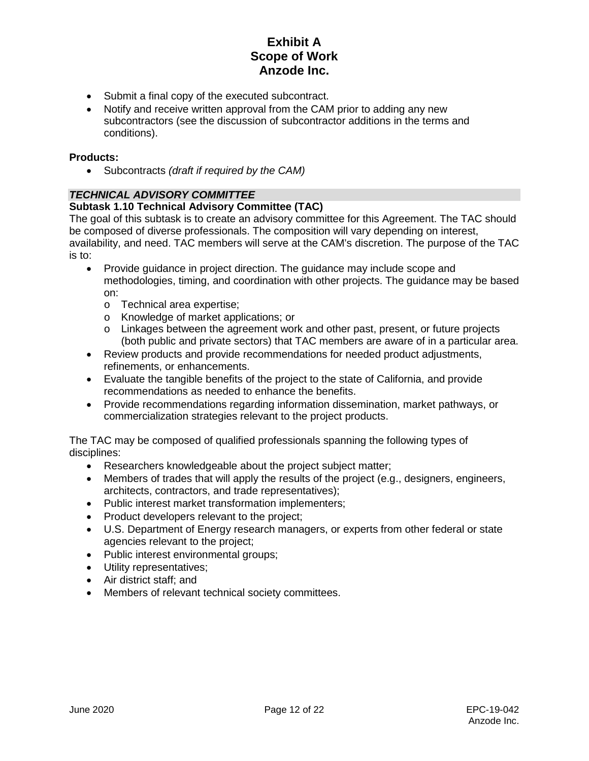- Submit a final copy of the executed subcontract.
- Notify and receive written approval from the CAM prior to adding any new subcontractors (see the discussion of subcontractor additions in the terms and conditions).

## **Products:**

• Subcontracts *(draft if required by the CAM)*

## *TECHNICAL ADVISORY COMMITTEE*

## **Subtask 1.10 Technical Advisory Committee (TAC)**

The goal of this subtask is to create an advisory committee for this Agreement. The TAC should be composed of diverse professionals. The composition will vary depending on interest, availability, and need. TAC members will serve at the CAM's discretion. The purpose of the TAC is to:

- Provide quidance in project direction. The quidance may include scope and methodologies, timing, and coordination with other projects. The guidance may be based on:
	- o Technical area expertise;
	- o Knowledge of market applications; or
	- o Linkages between the agreement work and other past, present, or future projects (both public and private sectors) that TAC members are aware of in a particular area.
- Review products and provide recommendations for needed product adjustments, refinements, or enhancements.
- Evaluate the tangible benefits of the project to the state of California, and provide recommendations as needed to enhance the benefits.
- Provide recommendations regarding information dissemination, market pathways, or commercialization strategies relevant to the project products.

The TAC may be composed of qualified professionals spanning the following types of disciplines:

- Researchers knowledgeable about the project subject matter;
- Members of trades that will apply the results of the project (e.g., designers, engineers, architects, contractors, and trade representatives);
- Public interest market transformation implementers;
- Product developers relevant to the project;
- U.S. Department of Energy research managers, or experts from other federal or state agencies relevant to the project;
- Public interest environmental groups;
- Utility representatives;
- Air district staff; and
- Members of relevant technical society committees.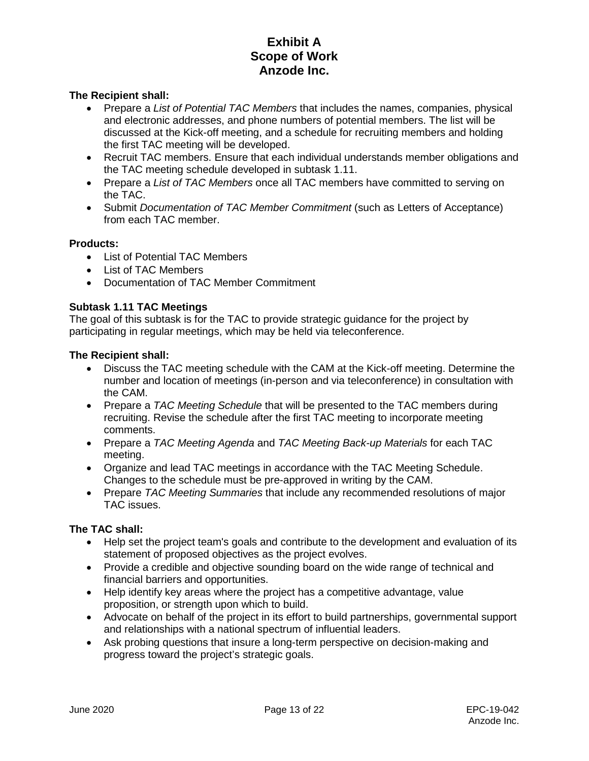## **The Recipient shall:**

- Prepare a *List of Potential TAC Members* that includes the names, companies, physical and electronic addresses, and phone numbers of potential members. The list will be discussed at the Kick-off meeting, and a schedule for recruiting members and holding the first TAC meeting will be developed.
- Recruit TAC members. Ensure that each individual understands member obligations and the TAC meeting schedule developed in subtask 1.11.
- Prepare a *List of TAC Members* once all TAC members have committed to serving on the TAC.
- Submit *Documentation of TAC Member Commitment* (such as Letters of Acceptance) from each TAC member.

### **Products:**

- List of Potential TAC Members
- List of TAC Members
- Documentation of TAC Member Commitment

## **Subtask 1.11 TAC Meetings**

The goal of this subtask is for the TAC to provide strategic guidance for the project by participating in regular meetings, which may be held via teleconference.

### **The Recipient shall:**

- Discuss the TAC meeting schedule with the CAM at the Kick-off meeting. Determine the number and location of meetings (in-person and via teleconference) in consultation with the CAM.
- Prepare a *TAC Meeting Schedule* that will be presented to the TAC members during recruiting. Revise the schedule after the first TAC meeting to incorporate meeting comments.
- Prepare a *TAC Meeting Agenda* and *TAC Meeting Back-up Materials* for each TAC meeting.
- Organize and lead TAC meetings in accordance with the TAC Meeting Schedule. Changes to the schedule must be pre-approved in writing by the CAM.
- Prepare *TAC Meeting Summaries* that include any recommended resolutions of major TAC issues.

## **The TAC shall:**

- Help set the project team's goals and contribute to the development and evaluation of its statement of proposed objectives as the project evolves.
- Provide a credible and objective sounding board on the wide range of technical and financial barriers and opportunities.
- Help identify key areas where the project has a competitive advantage, value proposition, or strength upon which to build.
- Advocate on behalf of the project in its effort to build partnerships, governmental support and relationships with a national spectrum of influential leaders.
- Ask probing questions that insure a long-term perspective on decision-making and progress toward the project's strategic goals.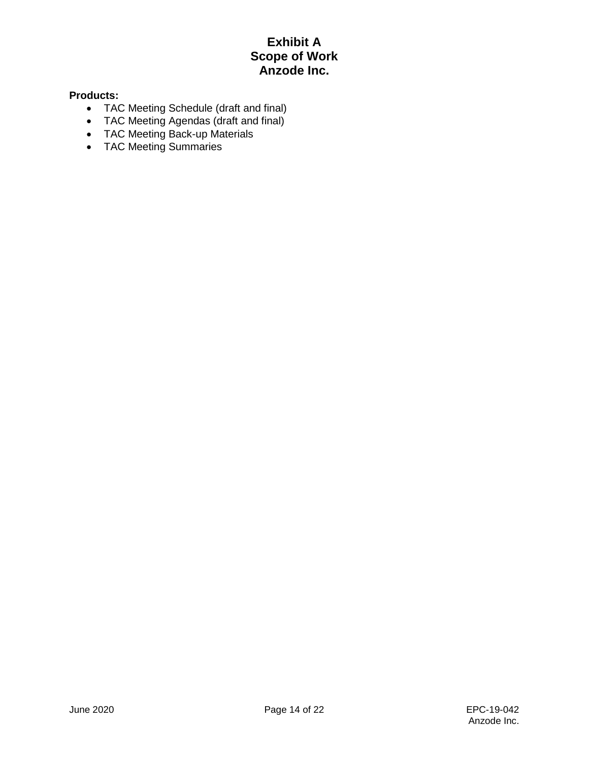## **Products:**

- TAC Meeting Schedule (draft and final)
- TAC Meeting Agendas (draft and final)
- TAC Meeting Back-up Materials
- TAC Meeting Summaries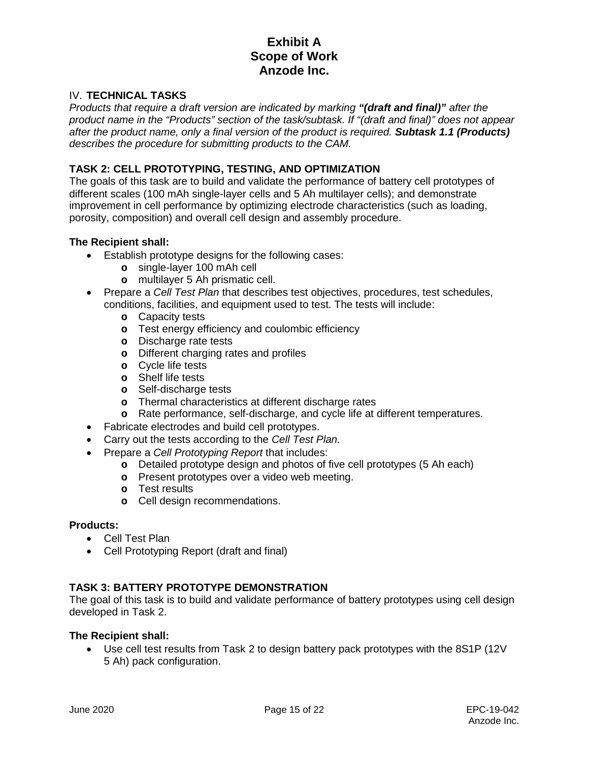## IV. **TECHNICAL TASKS**

*Products that require a draft version are indicated by marking "(draft and final)" after the product name in the "Products" section of the task/subtask. If "(draft and final)" does not appear after the product name, only a final version of the product is required. Subtask 1.1 (Products) describes the procedure for submitting products to the CAM.* 

## **TASK 2: CELL PROTOTYPING, TESTING, AND OPTIMIZATION**

The goals of this task are to build and validate the performance of battery cell prototypes of different scales (100 mAh single-layer cells and 5 Ah multilayer cells); and demonstrate improvement in cell performance by optimizing electrode characteristics (such as loading, porosity, composition) and overall cell design and assembly procedure.

### **The Recipient shall:**

- Establish prototype designs for the following cases:
	- **o** single-layer 100 mAh cell
	- **o** multilayer 5 Ah prismatic cell.
- Prepare a *Cell Test Plan* that describes test objectives, procedures, test schedules, conditions, facilities, and equipment used to test. The tests will include:
	- **o** Capacity tests
	- **o** Test energy efficiency and coulombic efficiency
	- **o** Discharge rate tests
	- **o** Different charging rates and profiles
	- **o** Cycle life tests
	- **o** Shelf life tests
	- **o** Self-discharge tests
	- **o** Thermal characteristics at different discharge rates
	- **o** Rate performance, self-discharge, and cycle life at different temperatures.
- Fabricate electrodes and build cell prototypes.
- Carry out the tests according to the *Cell Test Plan.*
- Prepare a *Cell Prototyping Report* that includes:
	- **o** Detailed prototype design and photos of five cell prototypes (5 Ah each)
	- **o** Present prototypes over a video web meeting.
	- **o** Test results
	- **o** Cell design recommendations.

### **Products:**

- Cell Test Plan
- Cell Prototyping Report (draft and final)

### **TASK 3: BATTERY PROTOTYPE DEMONSTRATION**

The goal of this task is to build and validate performance of battery prototypes using cell design developed in Task 2.

### **The Recipient shall:**

• Use cell test results from Task 2 to design battery pack prototypes with the 8S1P (12V 5 Ah) pack configuration.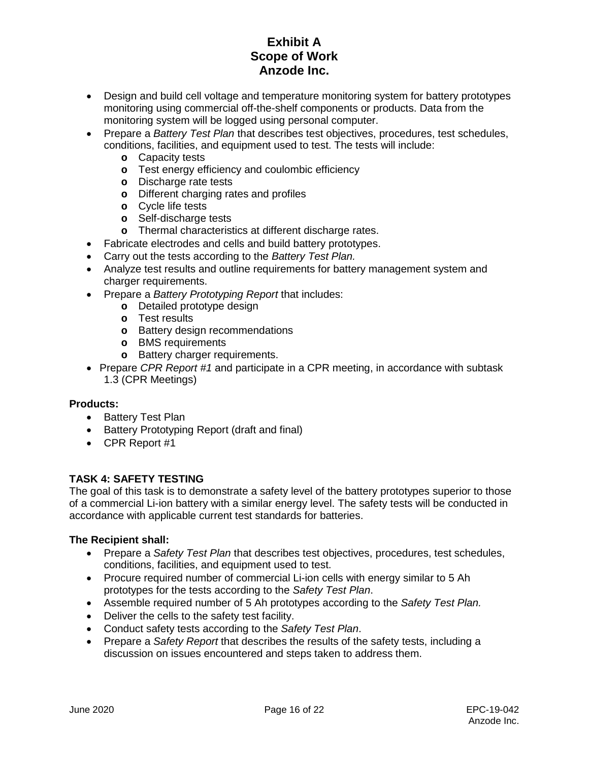- Design and build cell voltage and temperature monitoring system for battery prototypes monitoring using commercial off-the-shelf components or products. Data from the monitoring system will be logged using personal computer.
- Prepare a *Battery Test Plan* that describes test objectives, procedures, test schedules, conditions, facilities, and equipment used to test. The tests will include:
	- **o** Capacity tests
	- **o** Test energy efficiency and coulombic efficiency
	- **o** Discharge rate tests
	- **o** Different charging rates and profiles
	- **o** Cycle life tests
	- **o** Self-discharge tests
	- **o** Thermal characteristics at different discharge rates.
- Fabricate electrodes and cells and build battery prototypes.
- Carry out the tests according to the *Battery Test Plan.*
- Analyze test results and outline requirements for battery management system and charger requirements.
- Prepare a *Battery Prototyping Report* that includes:
	- **o** Detailed prototype design
	- **o** Test results
	- **o** Battery design recommendations
	- **o** BMS requirements
	- **o** Battery charger requirements.
- Prepare *CPR Report #1* and participate in a CPR meeting, in accordance with subtask 1.3 (CPR Meetings)

### **Products:**

- Battery Test Plan
- Battery Prototyping Report (draft and final)
- CPR Report #1

## **TASK 4: SAFETY TESTING**

The goal of this task is to demonstrate a safety level of the battery prototypes superior to those of a commercial Li-ion battery with a similar energy level. The safety tests will be conducted in accordance with applicable current test standards for batteries.

- Prepare a *Safety Test Plan* that describes test objectives, procedures, test schedules, conditions, facilities, and equipment used to test.
- Procure required number of commercial Li-ion cells with energy similar to 5 Ah prototypes for the tests according to the *Safety Test Plan*.
- Assemble required number of 5 Ah prototypes according to the *Safety Test Plan.*
- Deliver the cells to the safety test facility.
- Conduct safety tests according to the *Safety Test Plan*.
- Prepare a *Safety Report* that describes the results of the safety tests, including a discussion on issues encountered and steps taken to address them.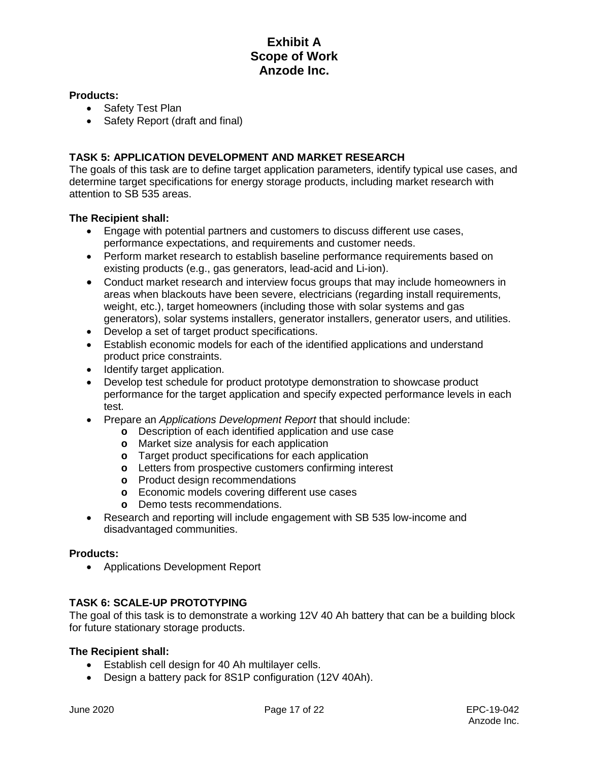#### **Products:**

- Safety Test Plan
- Safety Report (draft and final)

## **TASK 5: APPLICATION DEVELOPMENT AND MARKET RESEARCH**

The goals of this task are to define target application parameters, identify typical use cases, and determine target specifications for energy storage products, including market research with attention to SB 535 areas.

### **The Recipient shall:**

- Engage with potential partners and customers to discuss different use cases, performance expectations, and requirements and customer needs.
- Perform market research to establish baseline performance requirements based on existing products (e.g., gas generators, lead-acid and Li-ion).
- Conduct market research and interview focus groups that may include homeowners in areas when blackouts have been severe, electricians (regarding install requirements, weight, etc.), target homeowners (including those with solar systems and gas generators), solar systems installers, generator installers, generator users, and utilities.
- Develop a set of target product specifications.
- Establish economic models for each of the identified applications and understand product price constraints.
- Identify target application.
- Develop test schedule for product prototype demonstration to showcase product performance for the target application and specify expected performance levels in each test.
- Prepare an *Applications Development Report* that should include:
	- **o** Description of each identified application and use case
	- **o** Market size analysis for each application
	- **o** Target product specifications for each application
	- **o** Letters from prospective customers confirming interest
	- **o** Product design recommendations
	- **o** Economic models covering different use cases
	- **o** Demo tests recommendations.
- Research and reporting will include engagement with SB 535 low-income and disadvantaged communities.

### **Products:**

• Applications Development Report

## **TASK 6: SCALE-UP PROTOTYPING**

The goal of this task is to demonstrate a working 12V 40 Ah battery that can be a building block for future stationary storage products.

- Establish cell design for 40 Ah multilayer cells.
- Design a battery pack for 8S1P configuration (12V 40Ah).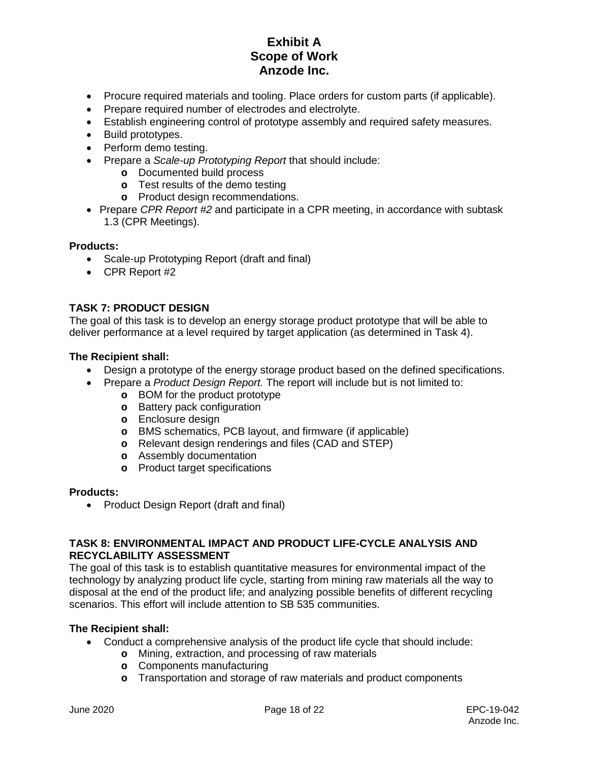- Procure required materials and tooling. Place orders for custom parts (if applicable).
- Prepare required number of electrodes and electrolyte.
- Establish engineering control of prototype assembly and required safety measures.
- Build prototypes.
- Perform demo testing.
- Prepare a *Scale-up Prototyping Report* that should include:
	- **o** Documented build process
	- **o** Test results of the demo testing
	- **o** Product design recommendations.
- Prepare *CPR Report #2* and participate in a CPR meeting, in accordance with subtask 1.3 (CPR Meetings).

### **Products:**

- Scale-up Prototyping Report (draft and final)
- CPR Report #2

# **TASK 7: PRODUCT DESIGN**

The goal of this task is to develop an energy storage product prototype that will be able to deliver performance at a level required by target application (as determined in Task 4).

## **The Recipient shall:**

- Design a prototype of the energy storage product based on the defined specifications.
- Prepare a *Product Design Report.* The report will include but is not limited to:
	- **o** BOM for the product prototype
	- **o** Battery pack configuration
	- **o** Enclosure design
	- **o** BMS schematics, PCB layout, and firmware (if applicable)
	- **o** Relevant design renderings and files (CAD and STEP)
	- **o** Assembly documentation
	- **o** Product target specifications

#### **Products:**

• Product Design Report (draft and final)

## **TASK 8: ENVIRONMENTAL IMPACT AND PRODUCT LIFE-CYCLE ANALYSIS AND RECYCLABILITY ASSESSMENT**

The goal of this task is to establish quantitative measures for environmental impact of the technology by analyzing product life cycle, starting from mining raw materials all the way to disposal at the end of the product life; and analyzing possible benefits of different recycling scenarios. This effort will include attention to SB 535 communities.

- Conduct a comprehensive analysis of the product life cycle that should include:
	- **o** Mining, extraction, and processing of raw materials
	- **o** Components manufacturing
	- **o** Transportation and storage of raw materials and product components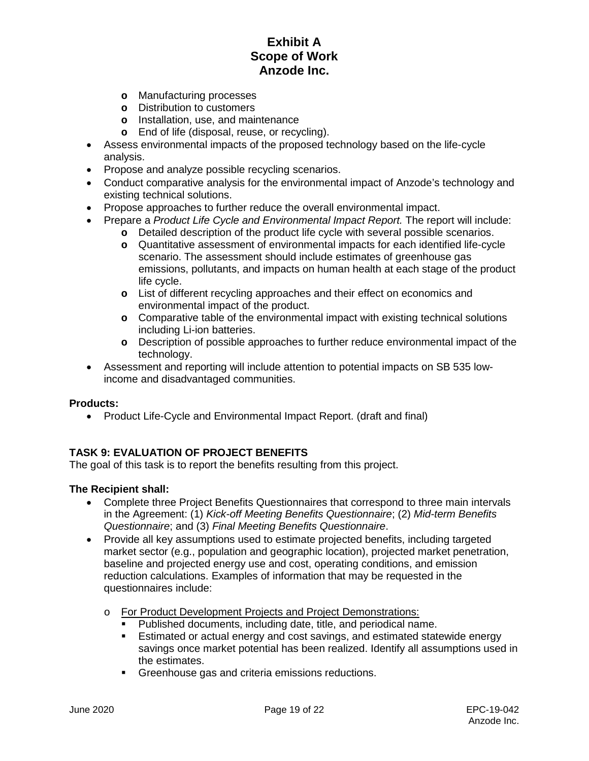- **o** Manufacturing processes
- **o** Distribution to customers
- **o** Installation, use, and maintenance
- **o** End of life (disposal, reuse, or recycling).
- Assess environmental impacts of the proposed technology based on the life-cycle analysis.
- Propose and analyze possible recycling scenarios.
- Conduct comparative analysis for the environmental impact of Anzode's technology and existing technical solutions.
- Propose approaches to further reduce the overall environmental impact.
- Prepare a *Product Life Cycle and Environmental Impact Report.* The report will include:
	- **o** Detailed description of the product life cycle with several possible scenarios.
	- **o** Quantitative assessment of environmental impacts for each identified life-cycle scenario. The assessment should include estimates of greenhouse gas emissions, pollutants, and impacts on human health at each stage of the product life cycle.
	- **o** List of different recycling approaches and their effect on economics and environmental impact of the product.
	- **o** Comparative table of the environmental impact with existing technical solutions including Li-ion batteries.
	- **o** Description of possible approaches to further reduce environmental impact of the technology.
- Assessment and reporting will include attention to potential impacts on SB 535 lowincome and disadvantaged communities.

### **Products:**

• Product Life-Cycle and Environmental Impact Report. (draft and final)

## **TASK 9: EVALUATION OF PROJECT BENEFITS**

The goal of this task is to report the benefits resulting from this project.

- Complete three Project Benefits Questionnaires that correspond to three main intervals in the Agreement: (1) *Kick-off Meeting Benefits Questionnaire*; (2) *Mid-term Benefits Questionnaire*; and (3) *Final Meeting Benefits Questionnaire*.
- Provide all key assumptions used to estimate projected benefits, including targeted market sector (e.g., population and geographic location), projected market penetration, baseline and projected energy use and cost, operating conditions, and emission reduction calculations. Examples of information that may be requested in the questionnaires include:
	- o For Product Development Projects and Project Demonstrations:<br>• Published documents, including date, title, and periodical pair
		- Published documents, including date, title, and periodical name.<br>■ Fstimated or actual energy and cost savings, and estimated state
		- Estimated or actual energy and cost savings, and estimated statewide energy savings once market potential has been realized. Identify all assumptions used in the estimates.
		- **Greenhouse gas and criteria emissions reductions.**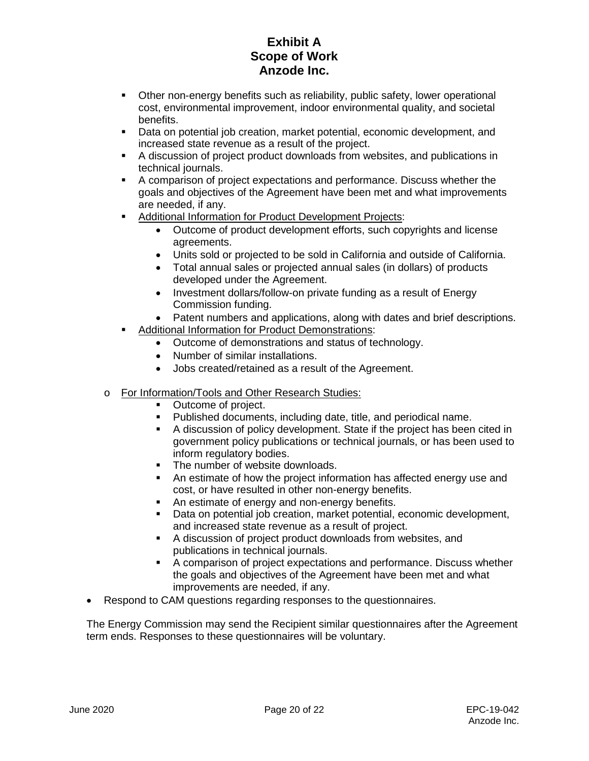- Other non-energy benefits such as reliability, public safety, lower operational cost, environmental improvement, indoor environmental quality, and societal benefits.
- Data on potential job creation, market potential, economic development, and increased state revenue as a result of the project.
- A discussion of project product downloads from websites, and publications in technical journals.
- A comparison of project expectations and performance. Discuss whether the goals and objectives of the Agreement have been met and what improvements are needed, if any.
- **Additional Information for Product Development Projects:** 
	- Outcome of product development efforts, such copyrights and license agreements.
	- Units sold or projected to be sold in California and outside of California.
	- Total annual sales or projected annual sales (in dollars) of products developed under the Agreement.
	- Investment dollars/follow-on private funding as a result of Energy Commission funding.
	- Patent numbers and applications, along with dates and brief descriptions.
	- Additional Information for Product Demonstrations:
		- Outcome of demonstrations and status of technology.
		- Number of similar installations.
		- Jobs created/retained as a result of the Agreement.
- o For Information/Tools and Other Research Studies:
	- Outcome of project.
	- Published documents, including date, title, and periodical name.
	- A discussion of policy development. State if the project has been cited in government policy publications or technical journals, or has been used to inform regulatory bodies.
	- The number of website downloads.
	- An estimate of how the project information has affected energy use and cost, or have resulted in other non-energy benefits.
	- An estimate of energy and non-energy benefits.
	- Data on potential job creation, market potential, economic development, and increased state revenue as a result of project.
	- A discussion of project product downloads from websites, and publications in technical journals.
	- A comparison of project expectations and performance. Discuss whether the goals and objectives of the Agreement have been met and what improvements are needed, if any.
- Respond to CAM questions regarding responses to the questionnaires.

The Energy Commission may send the Recipient similar questionnaires after the Agreement term ends. Responses to these questionnaires will be voluntary.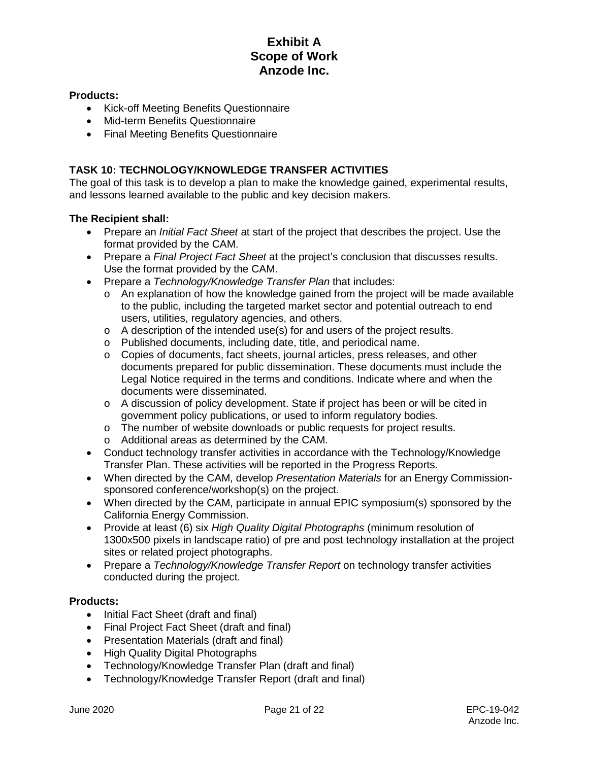## **Products:**

- Kick-off Meeting Benefits Questionnaire
- Mid-term Benefits Questionnaire
- Final Meeting Benefits Questionnaire

## **TASK 10: TECHNOLOGY/KNOWLEDGE TRANSFER ACTIVITIES**

The goal of this task is to develop a plan to make the knowledge gained, experimental results, and lessons learned available to the public and key decision makers.

## **The Recipient shall:**

- Prepare an *Initial Fact Sheet* at start of the project that describes the project. Use the format provided by the CAM.
- Prepare a *Final Project Fact Sheet* at the project's conclusion that discusses results. Use the format provided by the CAM.
- Prepare a *Technology/Knowledge Transfer Plan* that includes:
	- $\circ$  An explanation of how the knowledge gained from the project will be made available to the public, including the targeted market sector and potential outreach to end users, utilities, regulatory agencies, and others.
	- o A description of the intended use(s) for and users of the project results.
	- o Published documents, including date, title, and periodical name.
	- o Copies of documents, fact sheets, journal articles, press releases, and other documents prepared for public dissemination. These documents must include the Legal Notice required in the terms and conditions. Indicate where and when the documents were disseminated.
	- o A discussion of policy development. State if project has been or will be cited in government policy publications, or used to inform regulatory bodies.
	- o The number of website downloads or public requests for project results.
	- o Additional areas as determined by the CAM.
- Conduct technology transfer activities in accordance with the Technology/Knowledge Transfer Plan. These activities will be reported in the Progress Reports.
- When directed by the CAM, develop *Presentation Materials* for an Energy Commissionsponsored conference/workshop(s) on the project.
- When directed by the CAM, participate in annual EPIC symposium(s) sponsored by the California Energy Commission.
- Provide at least (6) six *High Quality Digital Photographs* (minimum resolution of 1300x500 pixels in landscape ratio) of pre and post technology installation at the project sites or related project photographs.
- Prepare a *Technology/Knowledge Transfer Report* on technology transfer activities conducted during the project.

### **Products:**

- Initial Fact Sheet (draft and final)
- Final Project Fact Sheet (draft and final)
- Presentation Materials (draft and final)
- High Quality Digital Photographs
- Technology/Knowledge Transfer Plan (draft and final)
- Technology/Knowledge Transfer Report (draft and final)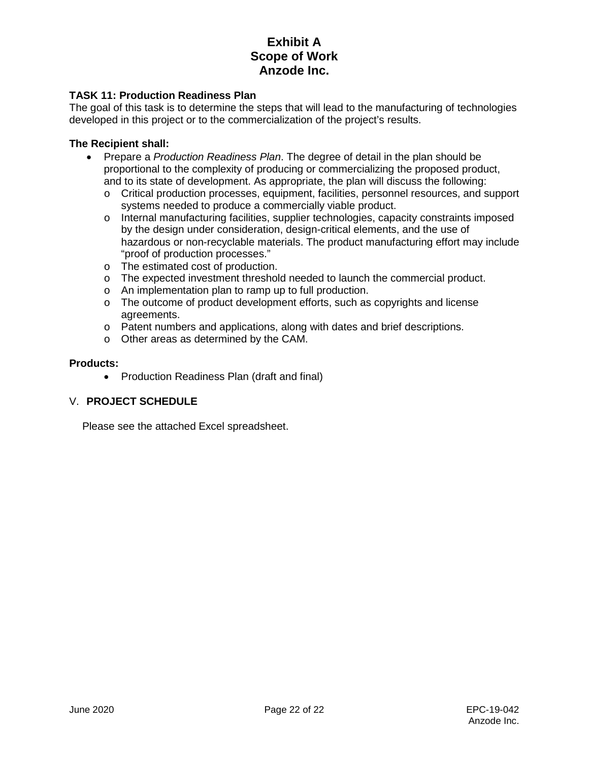## **TASK 11: Production Readiness Plan**

The goal of this task is to determine the steps that will lead to the manufacturing of technologies developed in this project or to the commercialization of the project's results.

#### **The Recipient shall:**

- Prepare a *Production Readiness Plan*. The degree of detail in the plan should be proportional to the complexity of producing or commercializing the proposed product, and to its state of development. As appropriate, the plan will discuss the following:
	- o Critical production processes, equipment, facilities, personnel resources, and support systems needed to produce a commercially viable product.
	- o Internal manufacturing facilities, supplier technologies, capacity constraints imposed by the design under consideration, design-critical elements, and the use of hazardous or non-recyclable materials. The product manufacturing effort may include "proof of production processes."
	- o The estimated cost of production.
	- o The expected investment threshold needed to launch the commercial product.
	- o An implementation plan to ramp up to full production.
	- $\circ$  The outcome of product development efforts, such as copyrights and license agreements.
	- o Patent numbers and applications, along with dates and brief descriptions.
	- o Other areas as determined by the CAM.

#### **Products:**

• Production Readiness Plan (draft and final)

## V. **PROJECT SCHEDULE**

Please see the attached Excel spreadsheet.